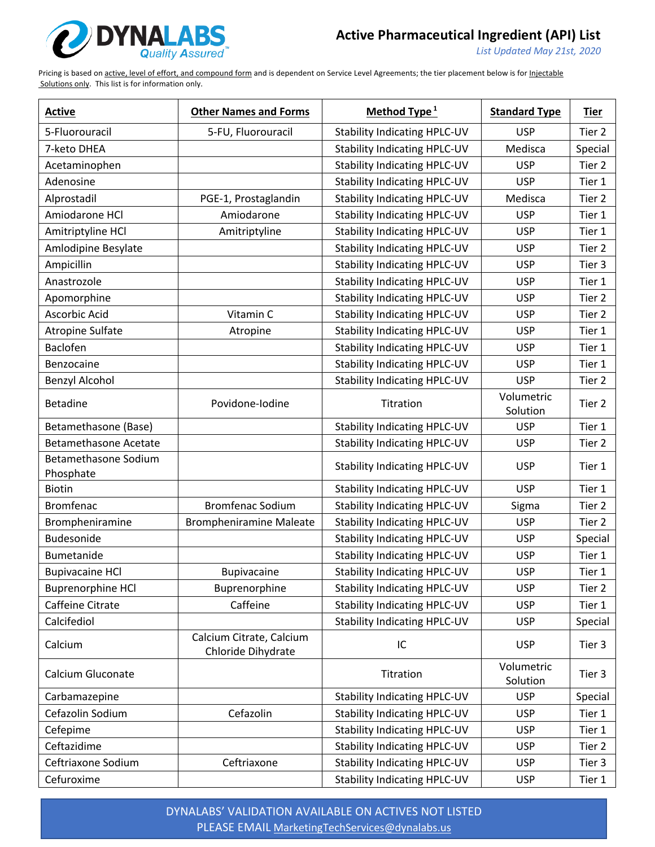

*List Updated May 21st, 2020*

Pricing is based on active, level of effort, and compound form and is dependent on Service Level Agreements; the tier placement below is for Injectable Solutions only. This list is for information only.

| <b>Active</b>                     | <b>Other Names and Forms</b>                   | Method Type $1$                     | <b>Standard Type</b>   | <b>Tier</b> |
|-----------------------------------|------------------------------------------------|-------------------------------------|------------------------|-------------|
| 5-Fluorouracil                    | 5-FU, Fluorouracil                             | <b>Stability Indicating HPLC-UV</b> | <b>USP</b>             | Tier 2      |
| 7-keto DHEA                       |                                                | <b>Stability Indicating HPLC-UV</b> | Medisca                | Special     |
| Acetaminophen                     |                                                | <b>Stability Indicating HPLC-UV</b> | <b>USP</b>             | Tier 2      |
| Adenosine                         |                                                | <b>Stability Indicating HPLC-UV</b> | <b>USP</b>             | Tier 1      |
| Alprostadil                       | PGE-1, Prostaglandin                           | <b>Stability Indicating HPLC-UV</b> | Medisca                | Tier 2      |
| Amiodarone HCl                    | Amiodarone                                     | <b>Stability Indicating HPLC-UV</b> | <b>USP</b>             | Tier 1      |
| Amitriptyline HCl                 | Amitriptyline                                  | <b>Stability Indicating HPLC-UV</b> | <b>USP</b>             | Tier 1      |
| Amlodipine Besylate               |                                                | <b>Stability Indicating HPLC-UV</b> | <b>USP</b>             | Tier 2      |
| Ampicillin                        |                                                | <b>Stability Indicating HPLC-UV</b> | <b>USP</b>             | Tier 3      |
| Anastrozole                       |                                                | <b>Stability Indicating HPLC-UV</b> | <b>USP</b>             | Tier 1      |
| Apomorphine                       |                                                | <b>Stability Indicating HPLC-UV</b> | <b>USP</b>             | Tier 2      |
| Ascorbic Acid                     | Vitamin C                                      | <b>Stability Indicating HPLC-UV</b> | <b>USP</b>             | Tier 2      |
| <b>Atropine Sulfate</b>           | Atropine                                       | <b>Stability Indicating HPLC-UV</b> | <b>USP</b>             | Tier 1      |
| Baclofen                          |                                                | <b>Stability Indicating HPLC-UV</b> | <b>USP</b>             | Tier 1      |
| Benzocaine                        |                                                | <b>Stability Indicating HPLC-UV</b> | <b>USP</b>             | Tier 1      |
| <b>Benzyl Alcohol</b>             |                                                | <b>Stability Indicating HPLC-UV</b> | <b>USP</b>             | Tier 2      |
| <b>Betadine</b>                   | Povidone-Iodine                                | Titration                           | Volumetric<br>Solution | Tier 2      |
| Betamethasone (Base)              |                                                | <b>Stability Indicating HPLC-UV</b> | <b>USP</b>             | Tier 1      |
| <b>Betamethasone Acetate</b>      |                                                | <b>Stability Indicating HPLC-UV</b> | <b>USP</b>             | Tier 2      |
| Betamethasone Sodium<br>Phosphate |                                                | <b>Stability Indicating HPLC-UV</b> | <b>USP</b>             | Tier 1      |
| Biotin                            |                                                | <b>Stability Indicating HPLC-UV</b> | <b>USP</b>             | Tier 1      |
| <b>Bromfenac</b>                  | <b>Bromfenac Sodium</b>                        | <b>Stability Indicating HPLC-UV</b> | Sigma                  | Tier 2      |
| Brompheniramine                   | <b>Brompheniramine Maleate</b>                 | <b>Stability Indicating HPLC-UV</b> | <b>USP</b>             | Tier 2      |
| Budesonide                        |                                                | <b>Stability Indicating HPLC-UV</b> | <b>USP</b>             | Special     |
| Bumetanide                        |                                                | <b>Stability Indicating HPLC-UV</b> | <b>USP</b>             | Tier 1      |
| <b>Bupivacaine HCI</b>            | <b>Bupivacaine</b>                             | <b>Stability Indicating HPLC-UV</b> | <b>USP</b>             | Tier 1      |
| <b>Buprenorphine HCl</b>          | Buprenorphine                                  | <b>Stability Indicating HPLC-UV</b> | <b>USP</b>             | Tier 2      |
| Caffeine Citrate                  | Caffeine                                       | <b>Stability Indicating HPLC-UV</b> | <b>USP</b>             | Tier 1      |
| Calcifediol                       |                                                | <b>Stability Indicating HPLC-UV</b> | <b>USP</b>             | Special     |
| Calcium                           | Calcium Citrate, Calcium<br>Chloride Dihydrate | IC                                  | <b>USP</b>             | Tier 3      |
| Calcium Gluconate                 |                                                | Titration                           | Volumetric<br>Solution | Tier 3      |
| Carbamazepine                     |                                                | <b>Stability Indicating HPLC-UV</b> | <b>USP</b>             | Special     |
| Cefazolin Sodium                  | Cefazolin                                      | <b>Stability Indicating HPLC-UV</b> | <b>USP</b>             | Tier 1      |
| Cefepime                          |                                                | <b>Stability Indicating HPLC-UV</b> | <b>USP</b>             | Tier 1      |
| Ceftazidime                       |                                                | <b>Stability Indicating HPLC-UV</b> | <b>USP</b>             | Tier 2      |
| Ceftriaxone Sodium                | Ceftriaxone                                    | <b>Stability Indicating HPLC-UV</b> | <b>USP</b>             | Tier 3      |
| Cefuroxime                        |                                                | <b>Stability Indicating HPLC-UV</b> | <b>USP</b>             | Tier 1      |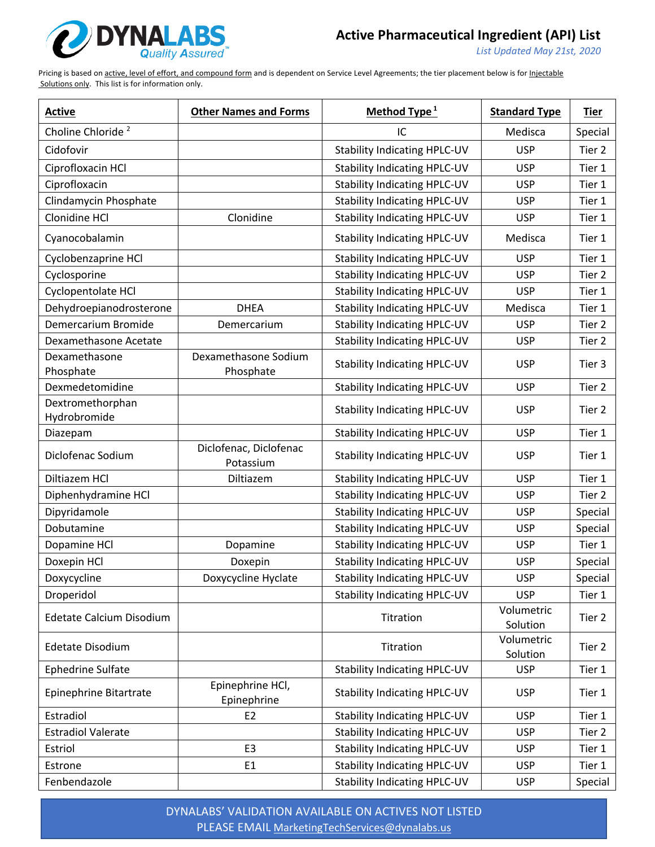

*List Updated May 21st, 2020*

Pricing is based on active, level of effort, and compound form and is dependent on Service Level Agreements; the tier placement below is for Injectable Solutions only. This list is for information only.

| <b>Active</b>                    | <b>Other Names and Forms</b>        | Method Type $1$                     | <b>Standard Type</b>   | <b>Tier</b> |
|----------------------------------|-------------------------------------|-------------------------------------|------------------------|-------------|
| Choline Chloride <sup>2</sup>    |                                     | IC                                  | Medisca                | Special     |
| Cidofovir                        |                                     | <b>Stability Indicating HPLC-UV</b> | <b>USP</b>             | Tier 2      |
| Ciprofloxacin HCl                |                                     | <b>Stability Indicating HPLC-UV</b> | <b>USP</b>             | Tier 1      |
| Ciprofloxacin                    |                                     | <b>Stability Indicating HPLC-UV</b> | <b>USP</b>             | Tier 1      |
| Clindamycin Phosphate            |                                     | <b>Stability Indicating HPLC-UV</b> | <b>USP</b>             | Tier 1      |
| Clonidine HCl                    | Clonidine                           | <b>Stability Indicating HPLC-UV</b> | <b>USP</b>             | Tier 1      |
| Cyanocobalamin                   |                                     | <b>Stability Indicating HPLC-UV</b> | Medisca                | Tier 1      |
| Cyclobenzaprine HCl              |                                     | <b>Stability Indicating HPLC-UV</b> | <b>USP</b>             | Tier 1      |
| Cyclosporine                     |                                     | <b>Stability Indicating HPLC-UV</b> | <b>USP</b>             | Tier 2      |
| Cyclopentolate HCl               |                                     | <b>Stability Indicating HPLC-UV</b> | <b>USP</b>             | Tier 1      |
| Dehydroepianodrosterone          | <b>DHEA</b>                         | <b>Stability Indicating HPLC-UV</b> | Medisca                | Tier 1      |
| Demercarium Bromide              | Demercarium                         | <b>Stability Indicating HPLC-UV</b> | <b>USP</b>             | Tier 2      |
| Dexamethasone Acetate            |                                     | <b>Stability Indicating HPLC-UV</b> | <b>USP</b>             | Tier 2      |
| Dexamethasone<br>Phosphate       | Dexamethasone Sodium<br>Phosphate   | <b>Stability Indicating HPLC-UV</b> | <b>USP</b>             | Tier 3      |
| Dexmedetomidine                  |                                     | <b>Stability Indicating HPLC-UV</b> | <b>USP</b>             | Tier 2      |
| Dextromethorphan<br>Hydrobromide |                                     | <b>Stability Indicating HPLC-UV</b> | <b>USP</b>             | Tier 2      |
| Diazepam                         |                                     | <b>Stability Indicating HPLC-UV</b> | <b>USP</b>             | Tier 1      |
| Diclofenac Sodium                | Diclofenac, Diclofenac<br>Potassium | <b>Stability Indicating HPLC-UV</b> | <b>USP</b>             | Tier 1      |
| Diltiazem HCl                    | Diltiazem                           | <b>Stability Indicating HPLC-UV</b> | <b>USP</b>             | Tier 1      |
| Diphenhydramine HCl              |                                     | <b>Stability Indicating HPLC-UV</b> | <b>USP</b>             | Tier 2      |
| Dipyridamole                     |                                     | <b>Stability Indicating HPLC-UV</b> | <b>USP</b>             | Special     |
| Dobutamine                       |                                     | <b>Stability Indicating HPLC-UV</b> | <b>USP</b>             | Special     |
| Dopamine HCl                     | Dopamine                            | <b>Stability Indicating HPLC-UV</b> | <b>USP</b>             | Tier 1      |
| Doxepin HCl                      | Doxepin                             | <b>Stability Indicating HPLC-UV</b> | <b>USP</b>             | Special     |
| Doxycycline                      | Doxycycline Hyclate                 | <b>Stability Indicating HPLC-UV</b> | <b>USP</b>             | Special     |
| Droperidol                       |                                     | <b>Stability Indicating HPLC-UV</b> | <b>USP</b>             | Tier 1      |
| <b>Edetate Calcium Disodium</b>  |                                     | Titration                           | Volumetric<br>Solution | Tier 2      |
| <b>Edetate Disodium</b>          |                                     | Titration                           | Volumetric<br>Solution | Tier 2      |
| <b>Ephedrine Sulfate</b>         |                                     | <b>Stability Indicating HPLC-UV</b> | <b>USP</b>             | Tier 1      |
| Epinephrine Bitartrate           | Epinephrine HCl,<br>Epinephrine     | <b>Stability Indicating HPLC-UV</b> | <b>USP</b>             | Tier 1      |
| Estradiol                        | E <sub>2</sub>                      | <b>Stability Indicating HPLC-UV</b> | <b>USP</b>             | Tier 1      |
| <b>Estradiol Valerate</b>        |                                     | <b>Stability Indicating HPLC-UV</b> | <b>USP</b>             | Tier 2      |
| Estriol                          | E <sub>3</sub>                      | <b>Stability Indicating HPLC-UV</b> | <b>USP</b>             | Tier 1      |
| Estrone                          | E1                                  | <b>Stability Indicating HPLC-UV</b> | <b>USP</b>             | Tier 1      |
| Fenbendazole                     |                                     | <b>Stability Indicating HPLC-UV</b> | <b>USP</b>             | Special     |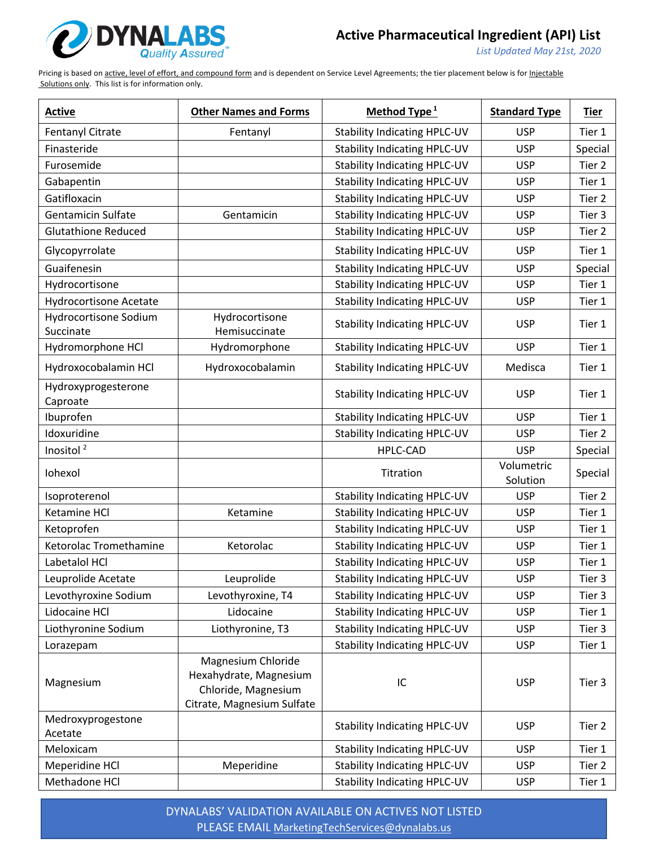

*List Updated May 21st, 2020*

Pricing is based on active, level of effort, and compound form and is dependent on Service Level Agreements; the tier placement below is for Injectable Solutions only. This list is for information only.

| <b>Active</b>                      | <b>Other Names and Forms</b>                                                                      | Method Type <sup>1</sup>            | <b>Standard Type</b>   | <b>Tier</b> |
|------------------------------------|---------------------------------------------------------------------------------------------------|-------------------------------------|------------------------|-------------|
| Fentanyl Citrate                   | Fentanyl                                                                                          | <b>Stability Indicating HPLC-UV</b> | <b>USP</b>             | Tier 1      |
| Finasteride                        |                                                                                                   | <b>Stability Indicating HPLC-UV</b> | <b>USP</b>             | Special     |
| Furosemide                         |                                                                                                   | <b>Stability Indicating HPLC-UV</b> | <b>USP</b>             | Tier 2      |
| Gabapentin                         |                                                                                                   | <b>Stability Indicating HPLC-UV</b> | <b>USP</b>             | Tier 1      |
| Gatifloxacin                       |                                                                                                   | <b>Stability Indicating HPLC-UV</b> | <b>USP</b>             | Tier 2      |
| <b>Gentamicin Sulfate</b>          | Gentamicin                                                                                        | <b>Stability Indicating HPLC-UV</b> | <b>USP</b>             | Tier 3      |
| <b>Glutathione Reduced</b>         |                                                                                                   | <b>Stability Indicating HPLC-UV</b> | <b>USP</b>             | Tier 2      |
| Glycopyrrolate                     |                                                                                                   | <b>Stability Indicating HPLC-UV</b> | <b>USP</b>             | Tier 1      |
| Guaifenesin                        |                                                                                                   | <b>Stability Indicating HPLC-UV</b> | <b>USP</b>             | Special     |
| Hydrocortisone                     |                                                                                                   | <b>Stability Indicating HPLC-UV</b> | <b>USP</b>             | Tier 1      |
| <b>Hydrocortisone Acetate</b>      |                                                                                                   | <b>Stability Indicating HPLC-UV</b> | <b>USP</b>             | Tier 1      |
| Hydrocortisone Sodium<br>Succinate | Hydrocortisone<br>Hemisuccinate                                                                   | <b>Stability Indicating HPLC-UV</b> | <b>USP</b>             | Tier 1      |
| Hydromorphone HCl                  | Hydromorphone                                                                                     | <b>Stability Indicating HPLC-UV</b> | <b>USP</b>             | Tier 1      |
| Hydroxocobalamin HCl               | Hydroxocobalamin                                                                                  | <b>Stability Indicating HPLC-UV</b> | Medisca                | Tier 1      |
| Hydroxyprogesterone<br>Caproate    |                                                                                                   | <b>Stability Indicating HPLC-UV</b> | <b>USP</b>             | Tier 1      |
| Ibuprofen                          |                                                                                                   | <b>Stability Indicating HPLC-UV</b> | <b>USP</b>             | Tier 1      |
| Idoxuridine                        |                                                                                                   | <b>Stability Indicating HPLC-UV</b> | <b>USP</b>             | Tier 2      |
| Inositol <sup>2</sup>              |                                                                                                   | <b>HPLC-CAD</b>                     | <b>USP</b>             | Special     |
| Iohexol                            |                                                                                                   | Titration                           | Volumetric<br>Solution | Special     |
| Isoproterenol                      |                                                                                                   | <b>Stability Indicating HPLC-UV</b> | <b>USP</b>             | Tier 2      |
| Ketamine HCl                       | Ketamine                                                                                          | <b>Stability Indicating HPLC-UV</b> | <b>USP</b>             | Tier 1      |
| Ketoprofen                         |                                                                                                   | <b>Stability Indicating HPLC-UV</b> | <b>USP</b>             | Tier 1      |
| Ketorolac Tromethamine             | Ketorolac                                                                                         | <b>Stability Indicating HPLC-UV</b> | <b>USP</b>             | Tier 1      |
| Labetalol HCl                      |                                                                                                   | <b>Stability Indicating HPLC-UV</b> | <b>USP</b>             | Tier 1      |
| Leuprolide Acetate                 | Leuprolide                                                                                        | <b>Stability Indicating HPLC-UV</b> | <b>USP</b>             | Tier 3      |
| Levothyroxine Sodium               | Levothyroxine, T4                                                                                 | <b>Stability Indicating HPLC-UV</b> | <b>USP</b>             | Tier 3      |
| Lidocaine HCl                      | Lidocaine                                                                                         | <b>Stability Indicating HPLC-UV</b> | <b>USP</b>             | Tier 1      |
| Liothyronine Sodium                | Liothyronine, T3                                                                                  | <b>Stability Indicating HPLC-UV</b> | <b>USP</b>             | Tier 3      |
| Lorazepam                          |                                                                                                   | <b>Stability Indicating HPLC-UV</b> | <b>USP</b>             | Tier 1      |
| Magnesium                          | Magnesium Chloride<br>Hexahydrate, Magnesium<br>Chloride, Magnesium<br>Citrate, Magnesium Sulfate | IC                                  | <b>USP</b>             | Tier 3      |
| Medroxyprogestone<br>Acetate       |                                                                                                   | <b>Stability Indicating HPLC-UV</b> | <b>USP</b>             | Tier 2      |
| Meloxicam                          |                                                                                                   | <b>Stability Indicating HPLC-UV</b> | <b>USP</b>             | Tier 1      |
| Meperidine HCl                     | Meperidine                                                                                        | <b>Stability Indicating HPLC-UV</b> | <b>USP</b>             | Tier 2      |
| Methadone HCl                      |                                                                                                   | <b>Stability Indicating HPLC-UV</b> | <b>USP</b>             | Tier 1      |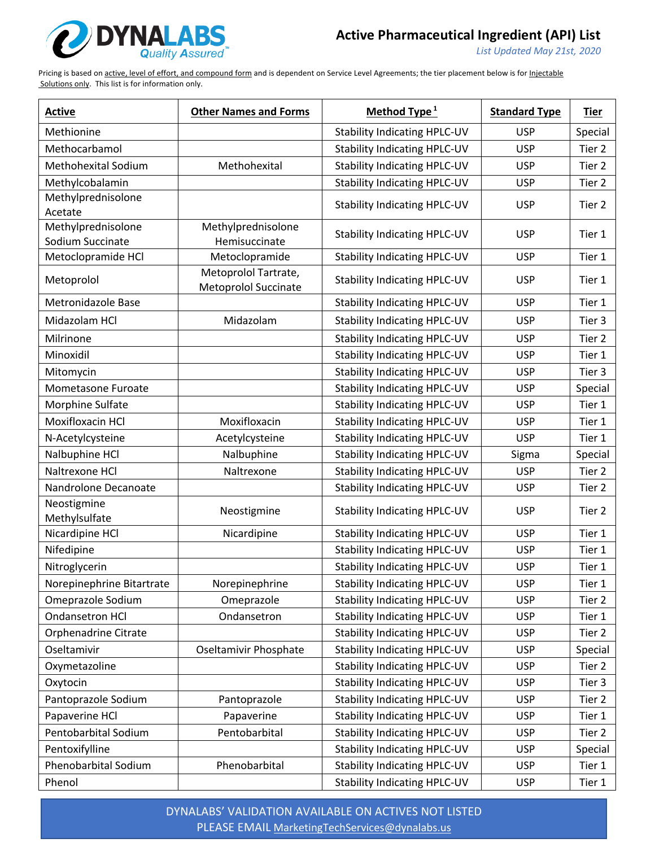

*List Updated May 21st, 2020*

Pricing is based on active, level of effort, and compound form and is dependent on Service Level Agreements; the tier placement below is for Injectable Solutions only. This list is for information only.

| <b>Active</b>                | <b>Other Names and Forms</b>                        | Method Type <sup>1</sup>            | <b>Standard Type</b> | <b>Tier</b> |
|------------------------------|-----------------------------------------------------|-------------------------------------|----------------------|-------------|
| Methionine                   |                                                     | <b>Stability Indicating HPLC-UV</b> | <b>USP</b>           | Special     |
| Methocarbamol                |                                                     | <b>Stability Indicating HPLC-UV</b> | <b>USP</b>           | Tier 2      |
| <b>Methohexital Sodium</b>   | Methohexital                                        | <b>Stability Indicating HPLC-UV</b> | <b>USP</b>           | Tier 2      |
| Methylcobalamin              |                                                     | <b>Stability Indicating HPLC-UV</b> | <b>USP</b>           | Tier 2      |
| Methylprednisolone           |                                                     | <b>Stability Indicating HPLC-UV</b> | <b>USP</b>           | Tier 2      |
| Acetate                      |                                                     |                                     |                      |             |
| Methylprednisolone           | Methylprednisolone                                  | <b>Stability Indicating HPLC-UV</b> | <b>USP</b>           | Tier 1      |
| Sodium Succinate             | Hemisuccinate                                       |                                     |                      |             |
| Metoclopramide HCl           | Metoclopramide                                      | <b>Stability Indicating HPLC-UV</b> | <b>USP</b>           | Tier 1      |
| Metoprolol                   | Metoprolol Tartrate,<br><b>Metoprolol Succinate</b> | <b>Stability Indicating HPLC-UV</b> | <b>USP</b>           | Tier 1      |
| <b>Metronidazole Base</b>    |                                                     | <b>Stability Indicating HPLC-UV</b> | <b>USP</b>           | Tier 1      |
| Midazolam HCl                | Midazolam                                           | <b>Stability Indicating HPLC-UV</b> | <b>USP</b>           | Tier 3      |
| Milrinone                    |                                                     | <b>Stability Indicating HPLC-UV</b> | <b>USP</b>           | Tier 2      |
| Minoxidil                    |                                                     | <b>Stability Indicating HPLC-UV</b> | <b>USP</b>           | Tier 1      |
| Mitomycin                    |                                                     | <b>Stability Indicating HPLC-UV</b> | <b>USP</b>           | Tier 3      |
| Mometasone Furoate           |                                                     | <b>Stability Indicating HPLC-UV</b> | <b>USP</b>           | Special     |
| Morphine Sulfate             |                                                     | <b>Stability Indicating HPLC-UV</b> | <b>USP</b>           | Tier 1      |
| Moxifloxacin HCl             | Moxifloxacin                                        | <b>Stability Indicating HPLC-UV</b> | <b>USP</b>           | Tier 1      |
| N-Acetylcysteine             | Acetylcysteine                                      | <b>Stability Indicating HPLC-UV</b> | <b>USP</b>           | Tier 1      |
| Nalbuphine HCl               | Nalbuphine                                          | <b>Stability Indicating HPLC-UV</b> | Sigma                | Special     |
| Naltrexone HCl               | Naltrexone                                          | <b>Stability Indicating HPLC-UV</b> | <b>USP</b>           | Tier 2      |
| Nandrolone Decanoate         |                                                     | <b>Stability Indicating HPLC-UV</b> | <b>USP</b>           | Tier 2      |
| Neostigmine<br>Methylsulfate | Neostigmine                                         | <b>Stability Indicating HPLC-UV</b> | <b>USP</b>           | Tier 2      |
| Nicardipine HCl              | Nicardipine                                         | <b>Stability Indicating HPLC-UV</b> | <b>USP</b>           | Tier 1      |
| Nifedipine                   |                                                     | <b>Stability Indicating HPLC-UV</b> | <b>USP</b>           | Tier 1      |
| Nitroglycerin                |                                                     | <b>Stability Indicating HPLC-UV</b> | <b>USP</b>           | Tier 1      |
| Norepinephrine Bitartrate    | Norepinephrine                                      | <b>Stability Indicating HPLC-UV</b> | <b>USP</b>           | Tier 1      |
| Omeprazole Sodium            | Omeprazole                                          | <b>Stability Indicating HPLC-UV</b> | <b>USP</b>           | Tier 2      |
| Ondansetron HCl              | Ondansetron                                         | <b>Stability Indicating HPLC-UV</b> | <b>USP</b>           | Tier 1      |
| Orphenadrine Citrate         |                                                     | <b>Stability Indicating HPLC-UV</b> | <b>USP</b>           | Tier 2      |
| Oseltamivir                  | Oseltamivir Phosphate                               | <b>Stability Indicating HPLC-UV</b> | <b>USP</b>           | Special     |
| Oxymetazoline                |                                                     | <b>Stability Indicating HPLC-UV</b> | <b>USP</b>           | Tier 2      |
| Oxytocin                     |                                                     | <b>Stability Indicating HPLC-UV</b> | <b>USP</b>           | Tier 3      |
| Pantoprazole Sodium          | Pantoprazole                                        | <b>Stability Indicating HPLC-UV</b> | <b>USP</b>           | Tier 2      |
| Papaverine HCl               |                                                     |                                     |                      |             |
|                              | Papaverine                                          | <b>Stability Indicating HPLC-UV</b> | <b>USP</b>           | Tier 1      |
| Pentobarbital Sodium         | Pentobarbital                                       | <b>Stability Indicating HPLC-UV</b> | <b>USP</b>           | Tier 2      |
| Pentoxifylline               |                                                     | <b>Stability Indicating HPLC-UV</b> | <b>USP</b>           | Special     |
| Phenobarbital Sodium         | Phenobarbital                                       | <b>Stability Indicating HPLC-UV</b> | <b>USP</b>           | Tier 1      |
| Phenol                       |                                                     | <b>Stability Indicating HPLC-UV</b> | <b>USP</b>           | Tier 1      |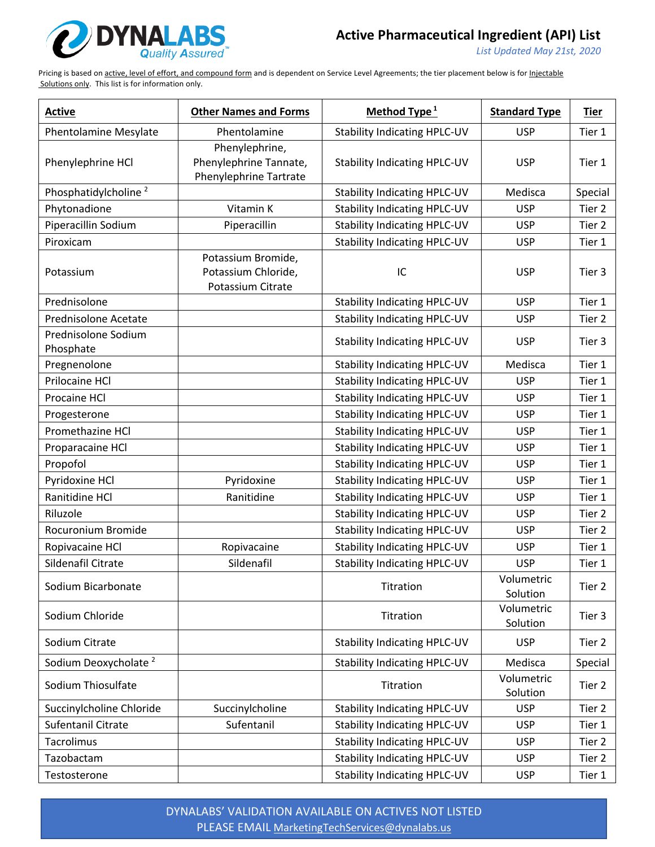

*List Updated May 21st, 2020*

Pricing is based on active, level of effort, and compound form and is dependent on Service Level Agreements; the tier placement below is for Injectable Solutions only. This list is for information only.

| <b>Active</b>                    | <b>Other Names and Forms</b>                                       | Method Type $1$                     | <b>Standard Type</b>   | <b>Tier</b> |
|----------------------------------|--------------------------------------------------------------------|-------------------------------------|------------------------|-------------|
| <b>Phentolamine Mesylate</b>     | Phentolamine                                                       | <b>Stability Indicating HPLC-UV</b> | <b>USP</b>             | Tier 1      |
| Phenylephrine HCl                | Phenylephrine,<br>Phenylephrine Tannate,<br>Phenylephrine Tartrate | <b>Stability Indicating HPLC-UV</b> | <b>USP</b>             | Tier 1      |
| Phosphatidylcholine <sup>2</sup> |                                                                    | <b>Stability Indicating HPLC-UV</b> | Medisca                | Special     |
| Phytonadione                     | Vitamin K                                                          | <b>Stability Indicating HPLC-UV</b> | <b>USP</b>             | Tier 2      |
| Piperacillin Sodium              | Piperacillin                                                       | <b>Stability Indicating HPLC-UV</b> | <b>USP</b>             | Tier 2      |
| Piroxicam                        |                                                                    | <b>Stability Indicating HPLC-UV</b> | <b>USP</b>             | Tier 1      |
| Potassium                        | Potassium Bromide,<br>Potassium Chloride,<br>Potassium Citrate     | IC                                  | <b>USP</b>             | Tier 3      |
| Prednisolone                     |                                                                    | <b>Stability Indicating HPLC-UV</b> | <b>USP</b>             | Tier 1      |
| Prednisolone Acetate             |                                                                    | <b>Stability Indicating HPLC-UV</b> | <b>USP</b>             | Tier 2      |
| Prednisolone Sodium<br>Phosphate |                                                                    | <b>Stability Indicating HPLC-UV</b> | <b>USP</b>             | Tier 3      |
| Pregnenolone                     |                                                                    | <b>Stability Indicating HPLC-UV</b> | Medisca                | Tier 1      |
| Prilocaine HCl                   |                                                                    | <b>Stability Indicating HPLC-UV</b> | <b>USP</b>             | Tier 1      |
| Procaine HCl                     |                                                                    | <b>Stability Indicating HPLC-UV</b> | <b>USP</b>             | Tier 1      |
| Progesterone                     |                                                                    | <b>Stability Indicating HPLC-UV</b> | <b>USP</b>             | Tier 1      |
| Promethazine HCl                 |                                                                    | <b>Stability Indicating HPLC-UV</b> | <b>USP</b>             | Tier 1      |
| Proparacaine HCl                 |                                                                    | <b>Stability Indicating HPLC-UV</b> | <b>USP</b>             | Tier 1      |
| Propofol                         |                                                                    | <b>Stability Indicating HPLC-UV</b> | <b>USP</b>             | Tier 1      |
| Pyridoxine HCl                   | Pyridoxine                                                         | <b>Stability Indicating HPLC-UV</b> | <b>USP</b>             | Tier 1      |
| Ranitidine HCl                   | Ranitidine                                                         | <b>Stability Indicating HPLC-UV</b> | <b>USP</b>             | Tier 1      |
| Riluzole                         |                                                                    | <b>Stability Indicating HPLC-UV</b> | <b>USP</b>             | Tier 2      |
| Rocuronium Bromide               |                                                                    | <b>Stability Indicating HPLC-UV</b> | <b>USP</b>             | Tier 2      |
| Ropivacaine HCl                  | Ropivacaine                                                        | <b>Stability Indicating HPLC-UV</b> | <b>USP</b>             | Tier 1      |
| Sildenafil Citrate               | Sildenafil                                                         | <b>Stability Indicating HPLC-UV</b> | <b>USP</b>             | Tier 1      |
| Sodium Bicarbonate               |                                                                    | Titration                           | Volumetric<br>Solution | Tier 2      |
| Sodium Chloride                  |                                                                    | Titration                           | Volumetric<br>Solution | Tier 3      |
| Sodium Citrate                   |                                                                    | <b>Stability Indicating HPLC-UV</b> | <b>USP</b>             | Tier 2      |
| Sodium Deoxycholate <sup>2</sup> |                                                                    | <b>Stability Indicating HPLC-UV</b> | Medisca                | Special     |
| Sodium Thiosulfate               |                                                                    | Titration                           | Volumetric<br>Solution | Tier 2      |
| Succinylcholine Chloride         | Succinylcholine                                                    | <b>Stability Indicating HPLC-UV</b> | <b>USP</b>             | Tier 2      |
| Sufentanil Citrate               | Sufentanil                                                         | <b>Stability Indicating HPLC-UV</b> | <b>USP</b>             | Tier 1      |
| Tacrolimus                       |                                                                    | <b>Stability Indicating HPLC-UV</b> | <b>USP</b>             | Tier 2      |
| Tazobactam                       |                                                                    | <b>Stability Indicating HPLC-UV</b> | <b>USP</b>             | Tier 2      |
| Testosterone                     |                                                                    | <b>Stability Indicating HPLC-UV</b> | <b>USP</b>             | Tier 1      |